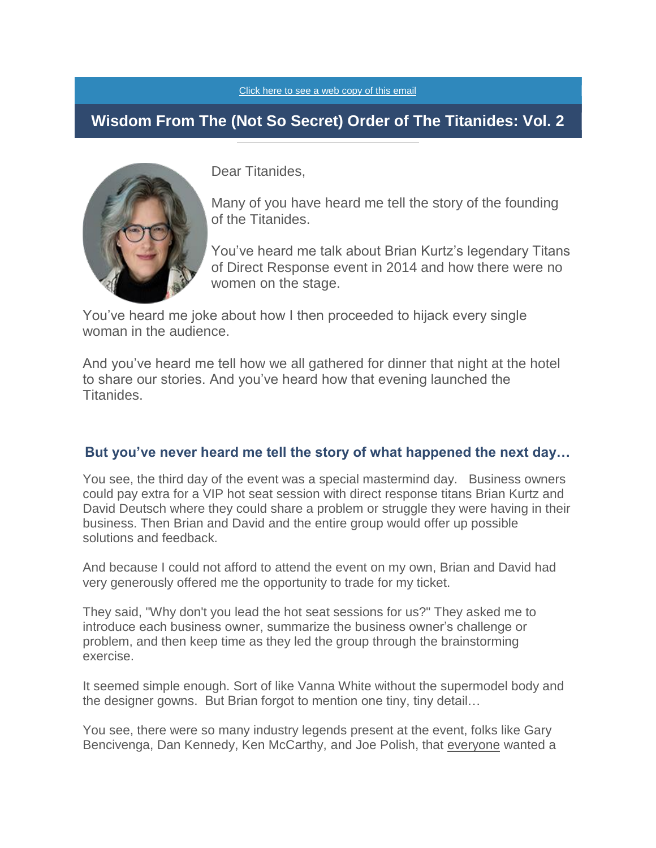[Click here to see a web copy of this email](https://titanidesllc.acemlna.com/lt.php?notrack=1¬rack=1&s=bad97c655476f96a390a72c05a742011&i=138A188A27A910)

## **Wisdom From The (Not So Secret) Order of The Titanides: Vol. 2**



Dear Titanides,

Many of you have heard me tell the story of the founding of the Titanides.

You've heard me talk about Brian Kurtz's legendary Titans of Direct Response event in 2014 and how there were no women on the stage.

You've heard me joke about how I then proceeded to hijack every single woman in the audience.

And you've heard me tell how we all gathered for dinner that night at the hotel to share our stories. And you've heard how that evening launched the Titanides.

### **But you've never heard me tell the story of what happened the next day…**

You see, the third day of the event was a special mastermind day. Business owners could pay extra for a VIP hot seat session with direct response titans Brian Kurtz and David Deutsch where they could share a problem or struggle they were having in their business. Then Brian and David and the entire group would offer up possible solutions and feedback.

And because I could not afford to attend the event on my own, Brian and David had very generously offered me the opportunity to trade for my ticket.

They said, "Why don't you lead the hot seat sessions for us?" They asked me to introduce each business owner, summarize the business owner's challenge or problem, and then keep time as they led the group through the brainstorming exercise.

It seemed simple enough. Sort of like Vanna White without the supermodel body and the designer gowns. But Brian forgot to mention one tiny, tiny detail…

You see, there were so many industry legends present at the event, folks like Gary Bencivenga, Dan Kennedy, Ken McCarthy, and Joe Polish, that everyone wanted a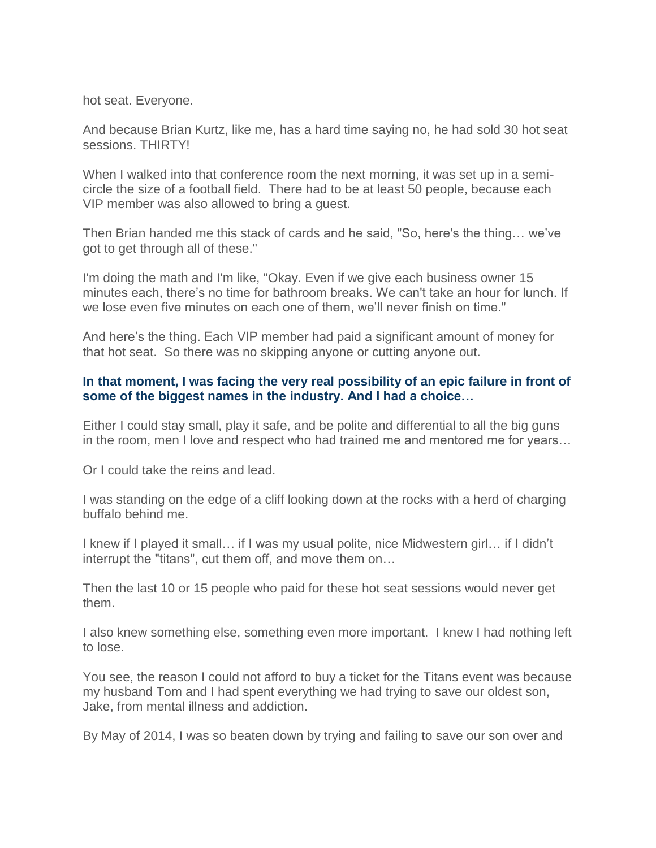hot seat. Everyone.

And because Brian Kurtz, like me, has a hard time saying no, he had sold 30 hot seat sessions. THIRTY!

When I walked into that conference room the next morning, it was set up in a semicircle the size of a football field. There had to be at least 50 people, because each VIP member was also allowed to bring a guest.

Then Brian handed me this stack of cards and he said, "So, here's the thing… we've got to get through all of these."

I'm doing the math and I'm like, "Okay. Even if we give each business owner 15 minutes each, there's no time for bathroom breaks. We can't take an hour for lunch. If we lose even five minutes on each one of them, we'll never finish on time."

And here's the thing. Each VIP member had paid a significant amount of money for that hot seat. So there was no skipping anyone or cutting anyone out.

#### **In that moment, I was facing the very real possibility of an epic failure in front of some of the biggest names in the industry. And I had a choice…**

Either I could stay small, play it safe, and be polite and differential to all the big guns in the room, men I love and respect who had trained me and mentored me for years…

Or I could take the reins and lead.

I was standing on the edge of a cliff looking down at the rocks with a herd of charging buffalo behind me.

I knew if I played it small… if I was my usual polite, nice Midwestern girl… if I didn't interrupt the "titans", cut them off, and move them on…

Then the last 10 or 15 people who paid for these hot seat sessions would never get them.

I also knew something else, something even more important. I knew I had nothing left to lose.

You see, the reason I could not afford to buy a ticket for the Titans event was because my husband Tom and I had spent everything we had trying to save our oldest son, Jake, from mental illness and addiction.

By May of 2014, I was so beaten down by trying and failing to save our son over and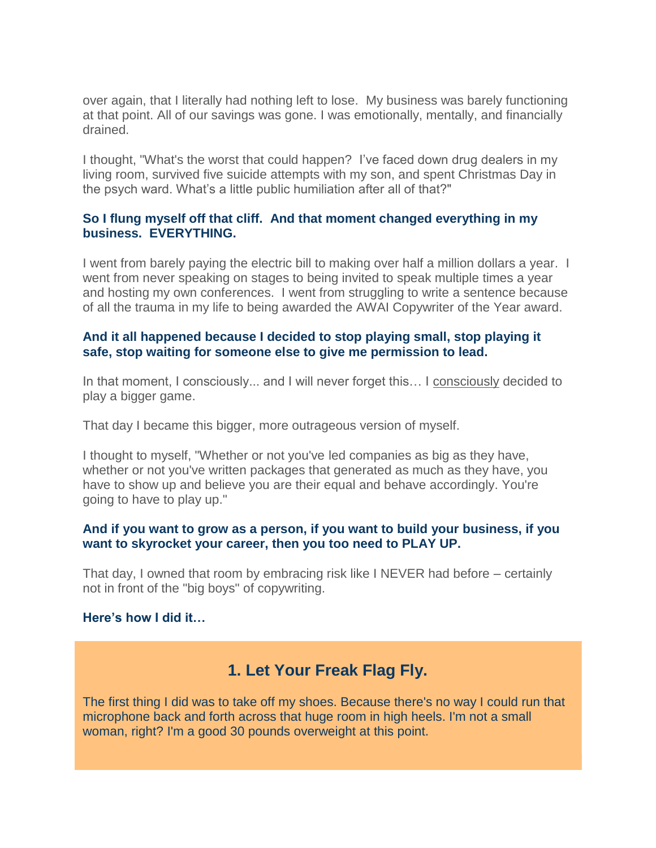over again, that I literally had nothing left to lose. My business was barely functioning at that point. All of our savings was gone. I was emotionally, mentally, and financially drained.

I thought, "What's the worst that could happen? I've faced down drug dealers in my living room, survived five suicide attempts with my son, and spent Christmas Day in the psych ward. What's a little public humiliation after all of that?"

#### **So I flung myself off that cliff. And that moment changed everything in my business. EVERYTHING.**

I went from barely paying the electric bill to making over half a million dollars a year. I went from never speaking on stages to being invited to speak multiple times a year and hosting my own conferences. I went from struggling to write a sentence because of all the trauma in my life to being awarded the AWAI Copywriter of the Year award.

#### **And it all happened because I decided to stop playing small, stop playing it safe, stop waiting for someone else to give me permission to lead.**

In that moment, I consciously... and I will never forget this... I consciously decided to play a bigger game.

That day I became this bigger, more outrageous version of myself.

I thought to myself, "Whether or not you've led companies as big as they have, whether or not you've written packages that generated as much as they have, you have to show up and believe you are their equal and behave accordingly. You're going to have to play up."

#### **And if you want to grow as a person, if you want to build your business, if you want to skyrocket your career, then you too need to PLAY UP.**

That day, I owned that room by embracing risk like I NEVER had before – certainly not in front of the "big boys" of copywriting.

#### **Here's how I did it…**

# **1. Let Your Freak Flag Fly.**

The first thing I did was to take off my shoes. Because there's no way I could run that microphone back and forth across that huge room in high heels. I'm not a small woman, right? I'm a good 30 pounds overweight at this point.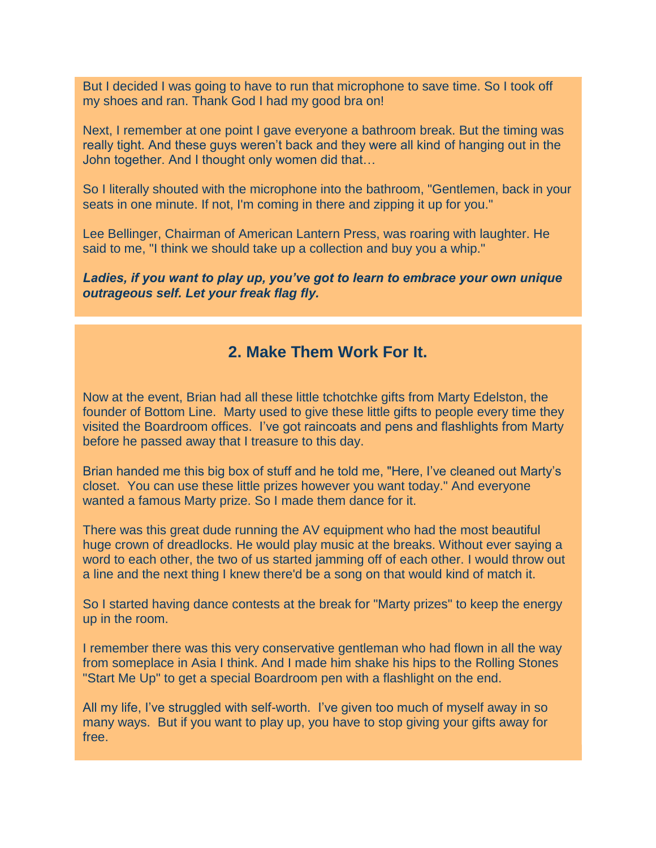But I decided I was going to have to run that microphone to save time. So I took off my shoes and ran. Thank God I had my good bra on!

Next, I remember at one point I gave everyone a bathroom break. But the timing was really tight. And these guys weren't back and they were all kind of hanging out in the John together. And I thought only women did that…

So I literally shouted with the microphone into the bathroom, "Gentlemen, back in your seats in one minute. If not, I'm coming in there and zipping it up for you."

Lee Bellinger, Chairman of American Lantern Press, was roaring with laughter. He said to me, "I think we should take up a collection and buy you a whip."

*Ladies, if you want to play up, you've got to learn to embrace your own unique outrageous self. Let your freak flag fly.*

## **2. Make Them Work For It.**

Now at the event, Brian had all these little tchotchke gifts from Marty Edelston, the founder of Bottom Line. Marty used to give these little gifts to people every time they visited the Boardroom offices. I've got raincoats and pens and flashlights from Marty before he passed away that I treasure to this day.

Brian handed me this big box of stuff and he told me, "Here, I've cleaned out Marty's closet. You can use these little prizes however you want today." And everyone wanted a famous Marty prize. So I made them dance for it.

There was this great dude running the AV equipment who had the most beautiful huge crown of dreadlocks. He would play music at the breaks. Without ever saying a word to each other, the two of us started jamming off of each other. I would throw out a line and the next thing I knew there'd be a song on that would kind of match it.

So I started having dance contests at the break for "Marty prizes" to keep the energy up in the room.

I remember there was this very conservative gentleman who had flown in all the way from someplace in Asia I think. And I made him shake his hips to the Rolling Stones "Start Me Up" to get a special Boardroom pen with a flashlight on the end.

All my life, I've struggled with self-worth. I've given too much of myself away in so many ways. But if you want to play up, you have to stop giving your gifts away for free.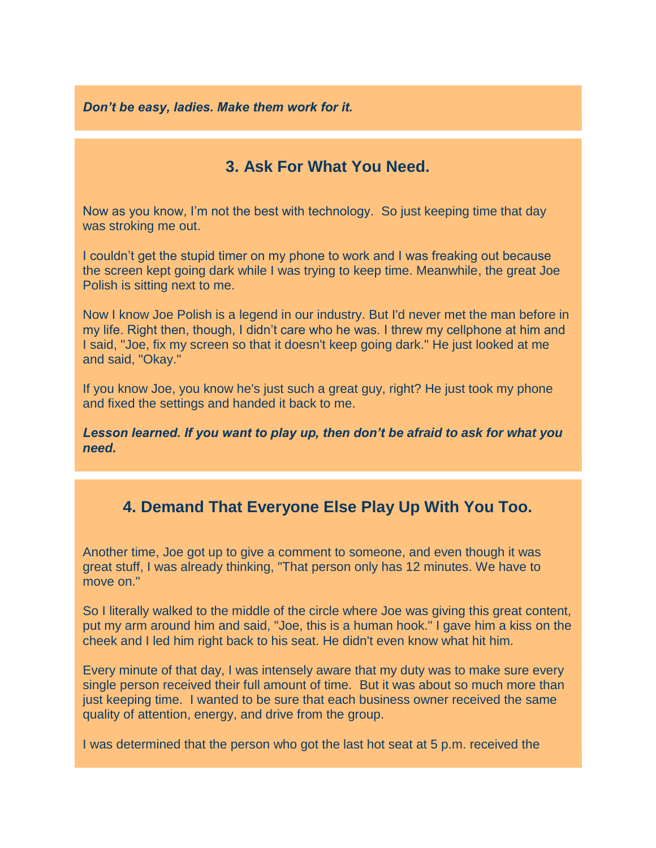*Don't be easy, ladies. Make them work for it.*

## **3. Ask For What You Need.**

Now as you know, I'm not the best with technology. So just keeping time that day was stroking me out.

I couldn't get the stupid timer on my phone to work and I was freaking out because the screen kept going dark while I was trying to keep time. Meanwhile, the great Joe Polish is sitting next to me.

Now I know Joe Polish is a legend in our industry. But I'd never met the man before in my life. Right then, though, I didn't care who he was. I threw my cellphone at him and I said, "Joe, fix my screen so that it doesn't keep going dark." He just looked at me and said, "Okay."

If you know Joe, you know he's just such a great guy, right? He just took my phone and fixed the settings and handed it back to me.

*Lesson learned. If you want to play up, then don't be afraid to ask for what you need.*

# **4. Demand That Everyone Else Play Up With You Too.**

Another time, Joe got up to give a comment to someone, and even though it was great stuff, I was already thinking, "That person only has 12 minutes. We have to move on."

So I literally walked to the middle of the circle where Joe was giving this great content, put my arm around him and said, "Joe, this is a human hook." I gave him a kiss on the cheek and I led him right back to his seat. He didn't even know what hit him.

Every minute of that day, I was intensely aware that my duty was to make sure every single person received their full amount of time. But it was about so much more than just keeping time. I wanted to be sure that each business owner received the same quality of attention, energy, and drive from the group.

I was determined that the person who got the last hot seat at 5 p.m. received the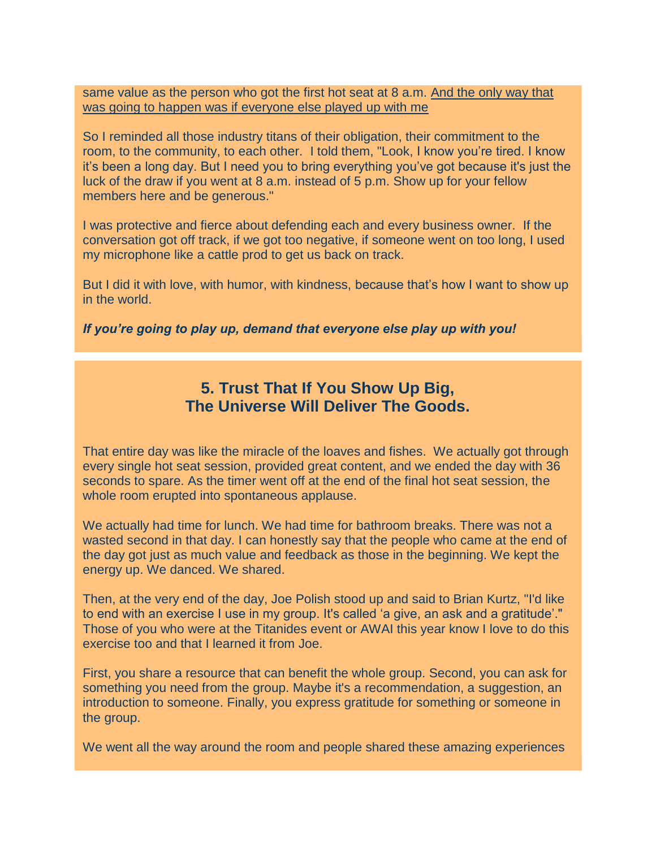same value as the person who got the first hot seat at 8 a.m. And the only way that was going to happen was if everyone else played up with me

So I reminded all those industry titans of their obligation, their commitment to the room, to the community, to each other. I told them, "Look, I know you're tired. I know it's been a long day. But I need you to bring everything you've got because it's just the luck of the draw if you went at 8 a.m. instead of 5 p.m. Show up for your fellow members here and be generous."

I was protective and fierce about defending each and every business owner. If the conversation got off track, if we got too negative, if someone went on too long, I used my microphone like a cattle prod to get us back on track.

But I did it with love, with humor, with kindness, because that's how I want to show up in the world.

*If you're going to play up, demand that everyone else play up with you!*

### **5. Trust That If You Show Up Big, The Universe Will Deliver The Goods.**

That entire day was like the miracle of the loaves and fishes. We actually got through every single hot seat session, provided great content, and we ended the day with 36 seconds to spare. As the timer went off at the end of the final hot seat session, the whole room erupted into spontaneous applause.

We actually had time for lunch. We had time for bathroom breaks. There was not a wasted second in that day. I can honestly say that the people who came at the end of the day got just as much value and feedback as those in the beginning. We kept the energy up. We danced. We shared.

Then, at the very end of the day, Joe Polish stood up and said to Brian Kurtz, "I'd like to end with an exercise I use in my group. It's called 'a give, an ask and a gratitude'." Those of you who were at the Titanides event or AWAI this year know I love to do this exercise too and that I learned it from Joe.

First, you share a resource that can benefit the whole group. Second, you can ask for something you need from the group. Maybe it's a recommendation, a suggestion, an introduction to someone. Finally, you express gratitude for something or someone in the group.

We went all the way around the room and people shared these amazing experiences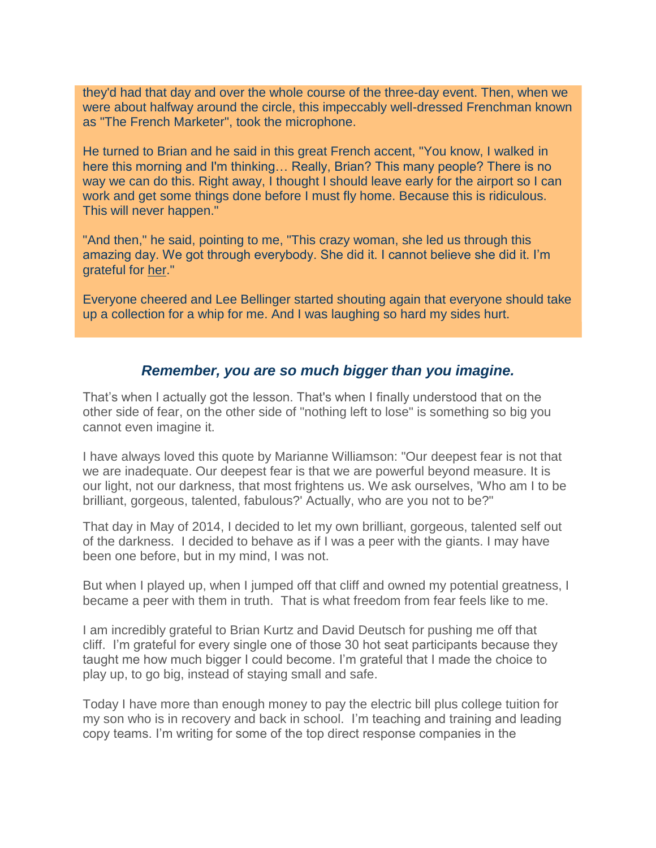they'd had that day and over the whole course of the three-day event. Then, when we were about halfway around the circle, this impeccably well-dressed Frenchman known as "The French Marketer", took the microphone.

He turned to Brian and he said in this great French accent, "You know, I walked in here this morning and I'm thinking… Really, Brian? This many people? There is no way we can do this. Right away, I thought I should leave early for the airport so I can work and get some things done before I must fly home. Because this is ridiculous. This will never happen."

"And then," he said, pointing to me, "This crazy woman, she led us through this amazing day. We got through everybody. She did it. I cannot believe she did it. I'm grateful for her."

Everyone cheered and Lee Bellinger started shouting again that everyone should take up a collection for a whip for me. And I was laughing so hard my sides hurt.

### *Remember, you are so much bigger than you imagine.*

That's when I actually got the lesson. That's when I finally understood that on the other side of fear, on the other side of "nothing left to lose" is something so big you cannot even imagine it.

I have always loved this quote by Marianne Williamson: "Our deepest fear is not that we are inadequate. Our deepest fear is that we are powerful beyond measure. It is our light, not our darkness, that most frightens us. We ask ourselves, 'Who am I to be brilliant, gorgeous, talented, fabulous?' Actually, who are you not to be?"

That day in May of 2014, I decided to let my own brilliant, gorgeous, talented self out of the darkness. I decided to behave as if I was a peer with the giants. I may have been one before, but in my mind, I was not.

But when I played up, when I jumped off that cliff and owned my potential greatness, I became a peer with them in truth. That is what freedom from fear feels like to me.

I am incredibly grateful to Brian Kurtz and David Deutsch for pushing me off that cliff. I'm grateful for every single one of those 30 hot seat participants because they taught me how much bigger I could become. I'm grateful that I made the choice to play up, to go big, instead of staying small and safe.

Today I have more than enough money to pay the electric bill plus college tuition for my son who is in recovery and back in school. I'm teaching and training and leading copy teams. I'm writing for some of the top direct response companies in the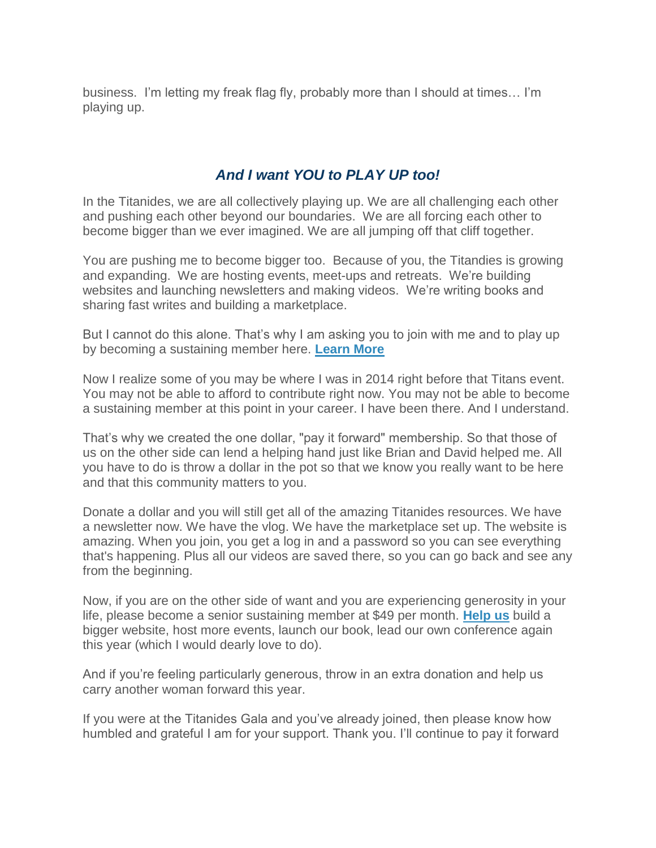business. I'm letting my freak flag fly, probably more than I should at times… I'm playing up.

### *And I want YOU to PLAY UP too!*

In the Titanides, we are all collectively playing up. We are all challenging each other and pushing each other beyond our boundaries. We are all forcing each other to become bigger than we ever imagined. We are all jumping off that cliff together.

You are pushing me to become bigger too. Because of you, the Titandies is growing and expanding. We are hosting events, meet-ups and retreats. We're building websites and launching newsletters and making videos. We're writing books and sharing fast writes and building a marketplace.

But I cannot do this alone. That's why I am asking you to join with me and to play up by becoming a sustaining member here. **[Learn More](https://titanidesllc.acemlna.com/lt.php?notrack=1¬rack=1&s=bad97c655476f96a390a72c05a742011&i=138A188A27A914)**

Now I realize some of you may be where I was in 2014 right before that Titans event. You may not be able to afford to contribute right now. You may not be able to become a sustaining member at this point in your career. I have been there. And I understand.

That's why we created the one dollar, "pay it forward" membership. So that those of us on the other side can lend a helping hand just like Brian and David helped me. All you have to do is throw a dollar in the pot so that we know you really want to be here and that this community matters to you.

Donate a dollar and you will still get all of the amazing Titanides resources. We have a newsletter now. We have the vlog. We have the marketplace set up. The website is amazing. When you join, you get a log in and a password so you can see everything that's happening. Plus all our videos are saved there, so you can go back and see any from the beginning.

Now, if you are on the other side of want and you are experiencing generosity in your life, please become a senior sustaining member at \$49 per month. **[Help us](https://titanidesllc.acemlna.com/lt.php?notrack=1¬rack=1&s=bad97c655476f96a390a72c05a742011&i=138A188A27A914)** build a bigger website, host more events, launch our book, lead our own conference again this year (which I would dearly love to do).

And if you're feeling particularly generous, throw in an extra donation and help us carry another woman forward this year.

If you were at the Titanides Gala and you've already joined, then please know how humbled and grateful I am for your support. Thank you. I'll continue to pay it forward